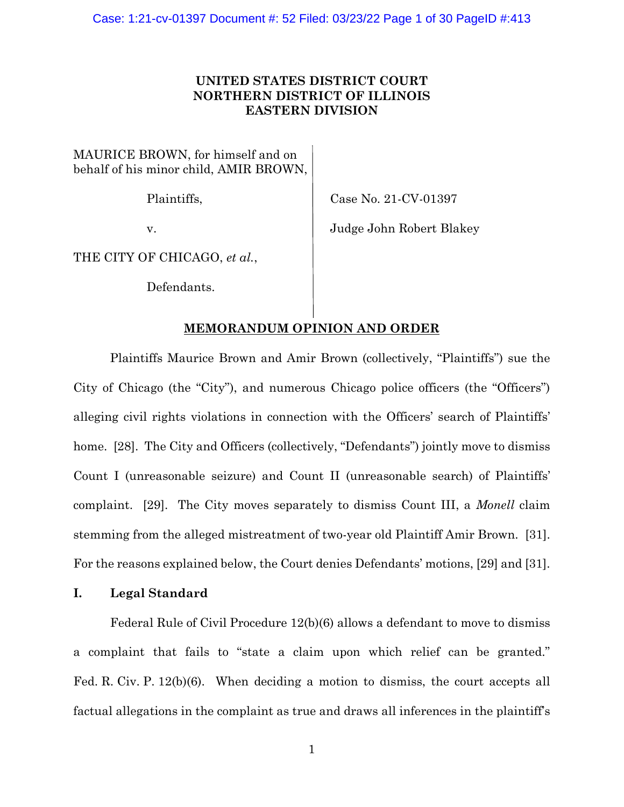# **UNITED STATES DISTRICT COURT NORTHERN DISTRICT OF ILLINOIS EASTERN DIVISION**

MAURICE BROWN, for himself and on behalf of his minor child, AMIR BROWN,

Plaintiffs, Case No. 21-CV-01397

v. Judge John Robert Blakey

THE CITY OF CHICAGO, *et al.*,

Defendants.

# **MEMORANDUM OPINION AND ORDER**

Plaintiffs Maurice Brown and Amir Brown (collectively, "Plaintiffs") sue the City of Chicago (the "City"), and numerous Chicago police officers (the "Officers") alleging civil rights violations in connection with the Officers' search of Plaintiffs' home. [28]. The City and Officers (collectively, "Defendants") jointly move to dismiss Count I (unreasonable seizure) and Count II (unreasonable search) of Plaintiffs' complaint. [29]. The City moves separately to dismiss Count III, a *Monell* claim stemming from the alleged mistreatment of two-year old Plaintiff Amir Brown. [31]. For the reasons explained below, the Court denies Defendants' motions, [29] and [31].

# **I. Legal Standard**

Federal Rule of Civil Procedure 12(b)(6) allows a defendant to move to dismiss a complaint that fails to "state a claim upon which relief can be granted." Fed. R. Civ. P. 12(b)(6). When deciding a motion to dismiss, the court accepts all factual allegations in the complaint as true and draws all inferences in the plaintiff's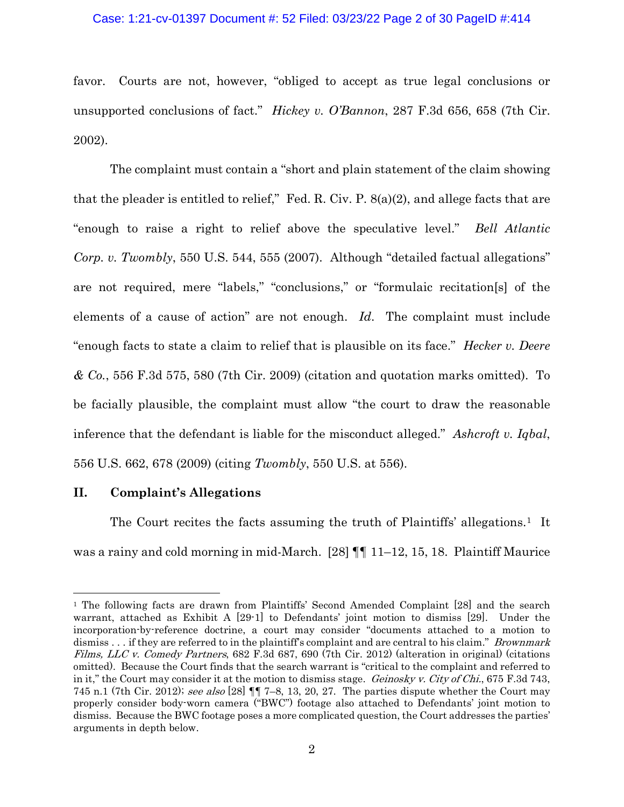#### Case: 1:21-cv-01397 Document #: 52 Filed: 03/23/22 Page 2 of 30 PageID #:414

favor. Courts are not, however, "obliged to accept as true legal conclusions or unsupported conclusions of fact." *Hickey v. O'Bannon*, 287 F.3d 656, 658 (7th Cir. 2002).

The complaint must contain a "short and plain statement of the claim showing that the pleader is entitled to relief," Fed. R. Civ. P.  $8(a)(2)$ , and allege facts that are "enough to raise a right to relief above the speculative level." *Bell Atlantic Corp. v. Twombly*, 550 U.S. 544, 555 (2007). Although "detailed factual allegations" are not required, mere "labels," "conclusions," or "formulaic recitation[s] of the elements of a cause of action" are not enough. *Id*. The complaint must include "enough facts to state a claim to relief that is plausible on its face." *Hecker v. Deere & Co.*, 556 F.3d 575, 580 (7th Cir. 2009) (citation and quotation marks omitted). To be facially plausible, the complaint must allow "the court to draw the reasonable inference that the defendant is liable for the misconduct alleged." *Ashcroft v. Iqbal*, 556 U.S. 662, 678 (2009) (citing *Twombly*, 550 U.S. at 556).

### **II. Complaint's Allegations**

The Court recites the facts assuming the truth of Plaintiffs' allegations.<sup>[1](#page-1-0)</sup> It was a rainy and cold morning in mid-March. [28]  $\P\P$  11–12, 15, 18. Plaintiff Maurice

<span id="page-1-0"></span><sup>1</sup> The following facts are drawn from Plaintiffs' Second Amended Complaint [28] and the search warrant, attached as Exhibit A [29-1] to Defendants' joint motion to dismiss [29]. Under the incorporation-by-reference doctrine, a court may consider "documents attached to a motion to dismiss . . . if they are referred to in the plaintiff's complaint and are central to his claim." *Brownmark* Films, LLC v. Comedy Partners, 682 F.3d 687, 690 (7th Cir. 2012) (alteration in original) (citations omitted). Because the Court finds that the search warrant is "critical to the complaint and referred to in it," the Court may consider it at the motion to dismiss stage. Geinosky v. City of Chi., 675 F.3d 743, 745 n.1 (7th Cir. 2012); see also [28]  $\P$  $I$  7–8, 13, 20, 27. The parties dispute whether the Court may properly consider body-worn camera ("BWC") footage also attached to Defendants' joint motion to dismiss. Because the BWC footage poses a more complicated question, the Court addresses the parties' arguments in depth below.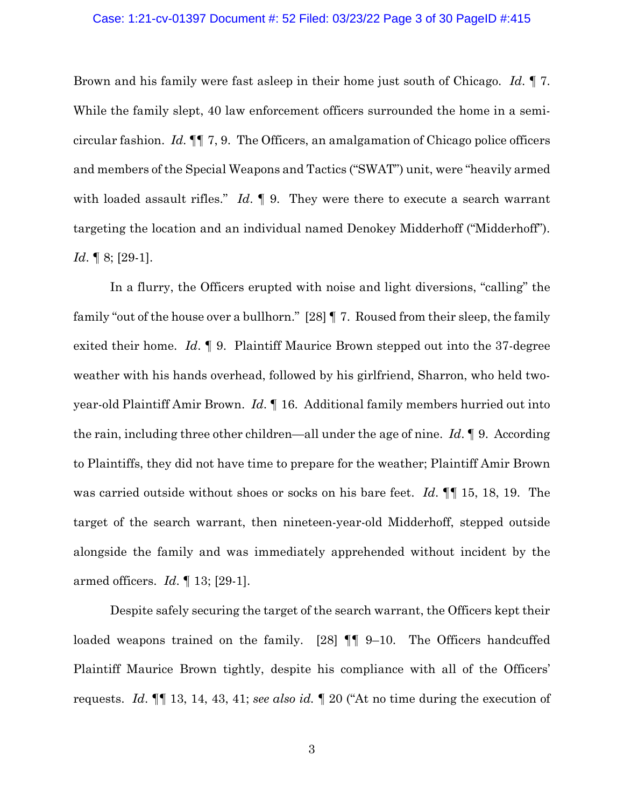#### Case: 1:21-cv-01397 Document #: 52 Filed: 03/23/22 Page 3 of 30 PageID #:415

Brown and his family were fast asleep in their home just south of Chicago. *Id*. ¶ 7. While the family slept, 40 law enforcement officers surrounded the home in a semicircular fashion. *Id*. ¶¶ 7, 9. The Officers, an amalgamation of Chicago police officers and members of the Special Weapons and Tactics ("SWAT") unit, were "heavily armed with loaded assault rifles." *Id*. 19. They were there to execute a search warrant targeting the location and an individual named Denokey Midderhoff ("Midderhoff"). *Id*. **[**8; [29-1].

In a flurry, the Officers erupted with noise and light diversions, "calling" the family "out of the house over a bullhorn." [28] ¶ 7. Roused from their sleep, the family exited their home. *Id*. ¶ 9. Plaintiff Maurice Brown stepped out into the 37-degree weather with his hands overhead, followed by his girlfriend, Sharron, who held twoyear-old Plaintiff Amir Brown. *Id*. ¶ 16. Additional family members hurried out into the rain, including three other children—all under the age of nine. *Id*. ¶ 9. According to Plaintiffs, they did not have time to prepare for the weather; Plaintiff Amir Brown was carried outside without shoes or socks on his bare feet. *Id*. ¶¶ 15, 18, 19. The target of the search warrant, then nineteen-year-old Midderhoff, stepped outside alongside the family and was immediately apprehended without incident by the armed officers. *Id*. ¶ 13; [29-1].

Despite safely securing the target of the search warrant, the Officers kept their loaded weapons trained on the family. [28]  $\P\P$  9–10. The Officers handcuffed Plaintiff Maurice Brown tightly, despite his compliance with all of the Officers' requests. *Id*. ¶¶ 13, 14, 43, 41; *see also id.* ¶ 20 ("At no time during the execution of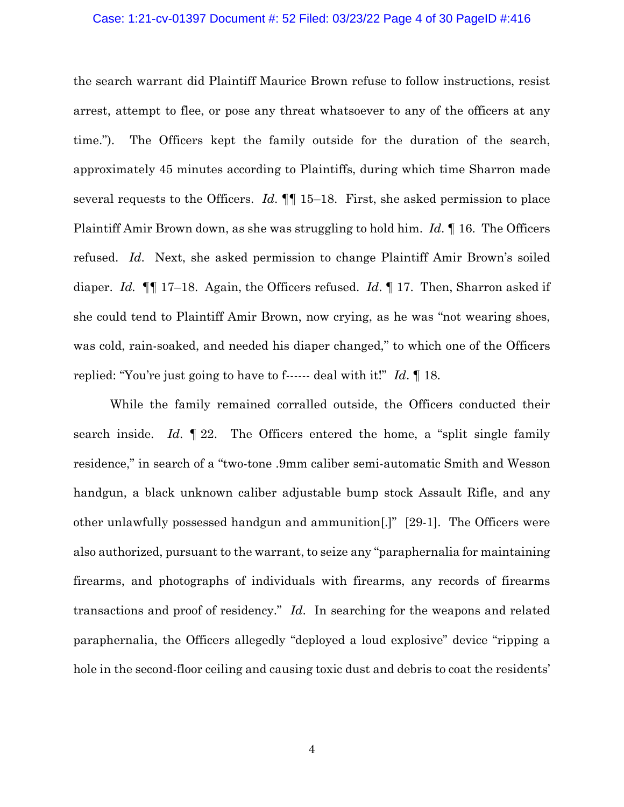#### Case: 1:21-cv-01397 Document #: 52 Filed: 03/23/22 Page 4 of 30 PageID #:416

the search warrant did Plaintiff Maurice Brown refuse to follow instructions, resist arrest, attempt to flee, or pose any threat whatsoever to any of the officers at any time."). The Officers kept the family outside for the duration of the search, approximately 45 minutes according to Plaintiffs, during which time Sharron made several requests to the Officers. *Id*. ¶¶ 15–18. First, she asked permission to place Plaintiff Amir Brown down, as she was struggling to hold him. *Id*. ¶ 16. The Officers refused. *Id*. Next, she asked permission to change Plaintiff Amir Brown's soiled diaper. *Id.* ¶¶ 17–18. Again, the Officers refused. *Id*. ¶ 17. Then, Sharron asked if she could tend to Plaintiff Amir Brown, now crying, as he was "not wearing shoes, was cold, rain-soaked, and needed his diaper changed," to which one of the Officers replied: "You're just going to have to f------ deal with it!" *Id*. ¶ 18.

While the family remained corralled outside, the Officers conducted their search inside. *Id*. ¶ 22. The Officers entered the home, a "split single family residence," in search of a "two-tone .9mm caliber semi-automatic Smith and Wesson handgun, a black unknown caliber adjustable bump stock Assault Rifle, and any other unlawfully possessed handgun and ammunition[.]" [29-1]. The Officers were also authorized, pursuant to the warrant, to seize any "paraphernalia for maintaining firearms, and photographs of individuals with firearms, any records of firearms transactions and proof of residency." *Id*. In searching for the weapons and related paraphernalia, the Officers allegedly "deployed a loud explosive" device "ripping a hole in the second-floor ceiling and causing toxic dust and debris to coat the residents'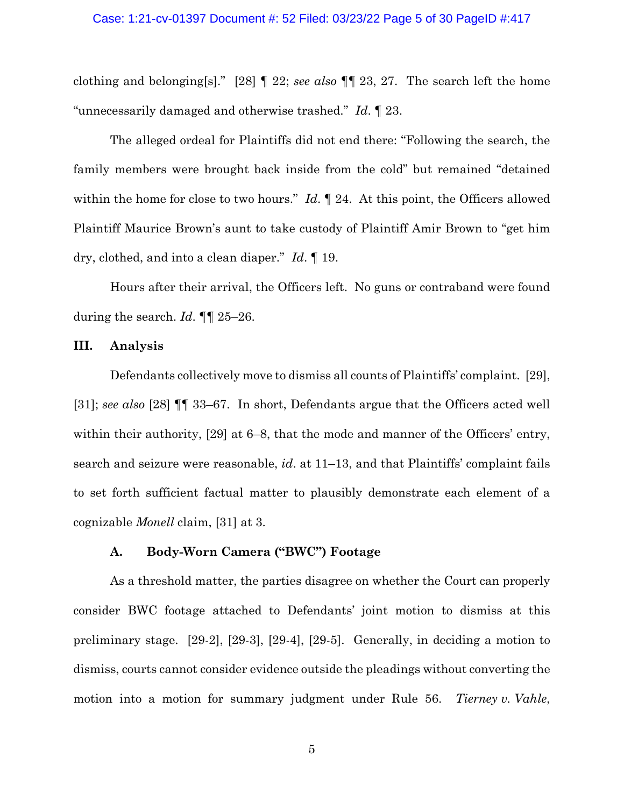#### Case: 1:21-cv-01397 Document #: 52 Filed: 03/23/22 Page 5 of 30 PageID #:417

clothing and belonging[s]." [28] ¶ 22; *see also* ¶¶ 23, 27. The search left the home "unnecessarily damaged and otherwise trashed." *Id*. ¶ 23.

The alleged ordeal for Plaintiffs did not end there: "Following the search, the family members were brought back inside from the cold" but remained "detained within the home for close to two hours." *Id*. **[24.** At this point, the Officers allowed Plaintiff Maurice Brown's aunt to take custody of Plaintiff Amir Brown to "get him dry, clothed, and into a clean diaper." *Id*. ¶ 19.

Hours after their arrival, the Officers left. No guns or contraband were found during the search. *Id*. ¶¶ 25–26.

### **III. Analysis**

Defendants collectively move to dismiss all counts of Plaintiffs' complaint. [29], [31]; *see also* [28] ¶¶ 33–67. In short, Defendants argue that the Officers acted well within their authority, [29] at 6–8, that the mode and manner of the Officers' entry, search and seizure were reasonable, *id*. at 11–13, and that Plaintiffs' complaint fails to set forth sufficient factual matter to plausibly demonstrate each element of a cognizable *Monell* claim, [31] at 3.

### **A. Body-Worn Camera ("BWC") Footage**

As a threshold matter, the parties disagree on whether the Court can properly consider BWC footage attached to Defendants' joint motion to dismiss at this preliminary stage. [29-2], [29-3], [29-4], [29-5]. Generally, in deciding a motion to dismiss, courts cannot consider evidence outside the pleadings without converting the motion into a motion for summary judgment under Rule 56. *Tierney v. Vahle*,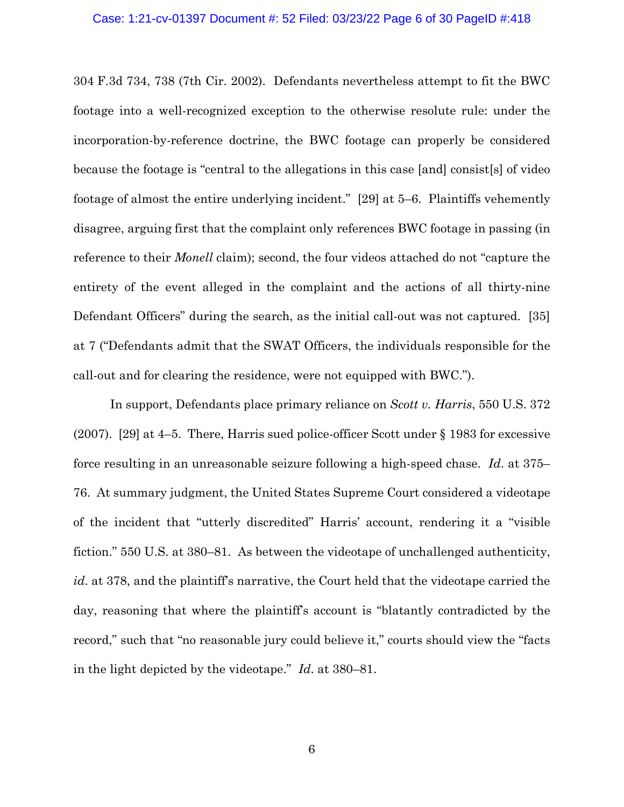#### Case: 1:21-cv-01397 Document #: 52 Filed: 03/23/22 Page 6 of 30 PageID #:418

304 F.3d 734, 738 (7th Cir. 2002). Defendants nevertheless attempt to fit the BWC footage into a well-recognized exception to the otherwise resolute rule: under the incorporation-by-reference doctrine, the BWC footage can properly be considered because the footage is "central to the allegations in this case [and] consist[s] of video footage of almost the entire underlying incident." [29] at 5–6. Plaintiffs vehemently disagree, arguing first that the complaint only references BWC footage in passing (in reference to their *Monell* claim); second, the four videos attached do not "capture the entirety of the event alleged in the complaint and the actions of all thirty-nine Defendant Officers" during the search, as the initial call-out was not captured. [35] at 7 ("Defendants admit that the SWAT Officers, the individuals responsible for the call-out and for clearing the residence, were not equipped with BWC.").

In support, Defendants place primary reliance on *Scott v. Harris*, 550 U.S. 372 (2007). [29] at 4–5. There, Harris sued police-officer Scott under § 1983 for excessive force resulting in an unreasonable seizure following a high-speed chase. *Id*. at 375– 76. At summary judgment, the United States Supreme Court considered a videotape of the incident that "utterly discredited" Harris' account, rendering it a "visible fiction." 550 U.S. at 380–81. As between the videotape of unchallenged authenticity, *id*. at 378, and the plaintiff's narrative, the Court held that the videotape carried the day, reasoning that where the plaintiff's account is "blatantly contradicted by the record," such that "no reasonable jury could believe it," courts should view the "facts in the light depicted by the videotape." *Id*. at 380–81.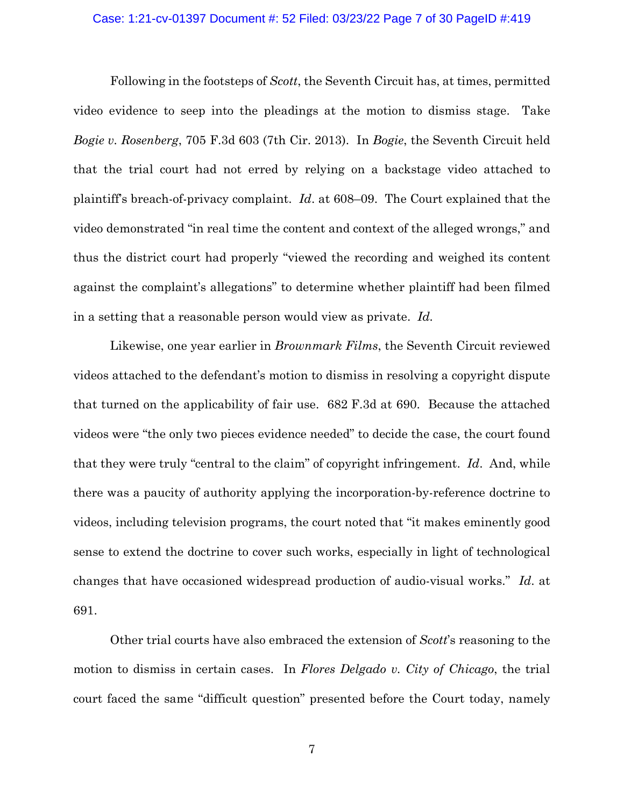#### Case: 1:21-cv-01397 Document #: 52 Filed: 03/23/22 Page 7 of 30 PageID #:419

Following in the footsteps of *Scott*, the Seventh Circuit has, at times, permitted video evidence to seep into the pleadings at the motion to dismiss stage. Take *Bogie v. Rosenberg*, 705 F.3d 603 (7th Cir. 2013). In *Bogie*, the Seventh Circuit held that the trial court had not erred by relying on a backstage video attached to plaintiff's breach-of-privacy complaint. *Id*. at 608–09. The Court explained that the video demonstrated "in real time the content and context of the alleged wrongs," and thus the district court had properly "viewed the recording and weighed its content against the complaint's allegations" to determine whether plaintiff had been filmed in a setting that a reasonable person would view as private. *Id.*

Likewise, one year earlier in *Brownmark Films*, the Seventh Circuit reviewed videos attached to the defendant's motion to dismiss in resolving a copyright dispute that turned on the applicability of fair use. 682 F.3d at 690. Because the attached videos were "the only two pieces evidence needed" to decide the case, the court found that they were truly "central to the claim" of copyright infringement. *Id*. And, while there was a paucity of authority applying the incorporation-by-reference doctrine to videos, including television programs, the court noted that "it makes eminently good sense to extend the doctrine to cover such works, especially in light of technological changes that have occasioned widespread production of audio-visual works." *Id*. at 691.

Other trial courts have also embraced the extension of *Scott*'s reasoning to the motion to dismiss in certain cases. In *Flores Delgado v. City of Chicago*, the trial court faced the same "difficult question" presented before the Court today, namely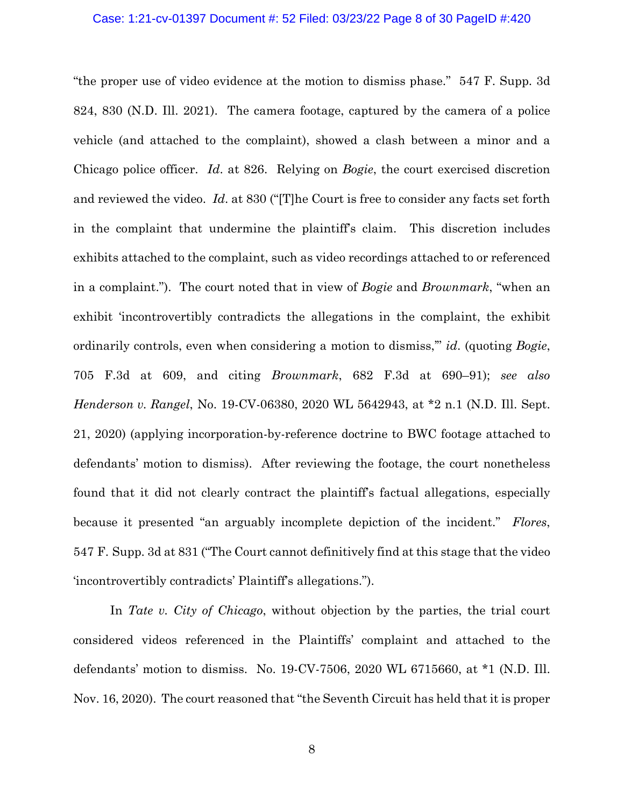"the proper use of video evidence at the motion to dismiss phase." 547 F. Supp. 3d 824, 830 (N.D. Ill. 2021). The camera footage, captured by the camera of a police vehicle (and attached to the complaint), showed a clash between a minor and a Chicago police officer. *Id*. at 826. Relying on *Bogie*, the court exercised discretion and reviewed the video. *Id*. at 830 ("[T]he Court is free to consider any facts set forth in the complaint that undermine the plaintiff's claim. This discretion includes exhibits attached to the complaint, such as video recordings attached to or referenced in a complaint."). The court noted that in view of *Bogie* and *Brownmark*, "when an exhibit 'incontrovertibly contradicts the allegations in the complaint, the exhibit ordinarily controls, even when considering a motion to dismiss,'" *id*. (quoting *Bogie*, 705 F.3d at 609, and citing *Brownmark*, 682 F.3d at 690–91); *see also Henderson v. Rangel*, No. 19-CV-06380, 2020 WL 5642943, at \*2 n.1 (N.D. Ill. Sept. 21, 2020) (applying incorporation-by-reference doctrine to BWC footage attached to defendants' motion to dismiss). After reviewing the footage, the court nonetheless found that it did not clearly contract the plaintiff's factual allegations, especially because it presented "an arguably incomplete depiction of the incident." *Flores*, 547 F. Supp. 3d at 831 ("The Court cannot definitively find at this stage that the video 'incontrovertibly contradicts' Plaintiff's allegations.").

In *Tate v. City of Chicago*, without objection by the parties, the trial court considered videos referenced in the Plaintiffs' complaint and attached to the defendants' motion to dismiss. No. 19-CV-7506, 2020 WL 6715660, at \*1 (N.D. Ill. Nov. 16, 2020). The court reasoned that "the Seventh Circuit has held that it is proper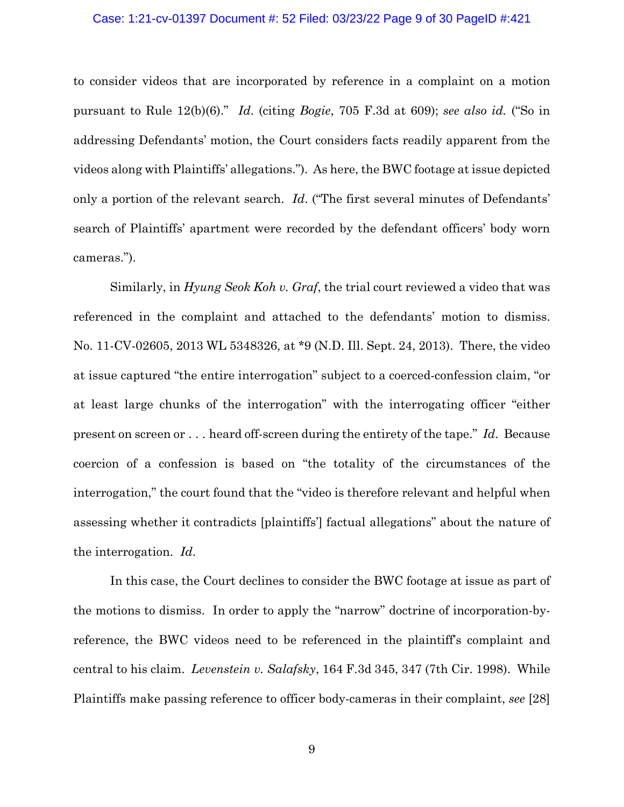#### Case: 1:21-cv-01397 Document #: 52 Filed: 03/23/22 Page 9 of 30 PageID #:421

to consider videos that are incorporated by reference in a complaint on a motion pursuant to Rule 12(b)(6)." *Id*. (citing *Bogie*, 705 F.3d at 609); *see also id.* ("So in addressing Defendants' motion, the Court considers facts readily apparent from the videos along with Plaintiffs' allegations."). As here, the BWC footage at issue depicted only a portion of the relevant search. *Id*. ("The first several minutes of Defendants' search of Plaintiffs' apartment were recorded by the defendant officers' body worn cameras.").

Similarly, in *Hyung Seok Koh v. Graf*, the trial court reviewed a video that was referenced in the complaint and attached to the defendants' motion to dismiss. No. 11-CV-02605, 2013 WL 5348326, at \*9 (N.D. Ill. Sept. 24, 2013). There, the video at issue captured "the entire interrogation" subject to a coerced-confession claim, "or at least large chunks of the interrogation" with the interrogating officer "either present on screen or . . . heard off-screen during the entirety of the tape." *Id*. Because coercion of a confession is based on "the totality of the circumstances of the interrogation," the court found that the "video is therefore relevant and helpful when assessing whether it contradicts [plaintiffs'] factual allegations" about the nature of the interrogation. *Id*.

In this case, the Court declines to consider the BWC footage at issue as part of the motions to dismiss. In order to apply the "narrow" doctrine of incorporation-byreference, the BWC videos need to be referenced in the plaintiff's complaint and central to his claim. *Levenstein v. Salafsky*, 164 F.3d 345, 347 (7th Cir. 1998). While Plaintiffs make passing reference to officer body-cameras in their complaint, *see* [28]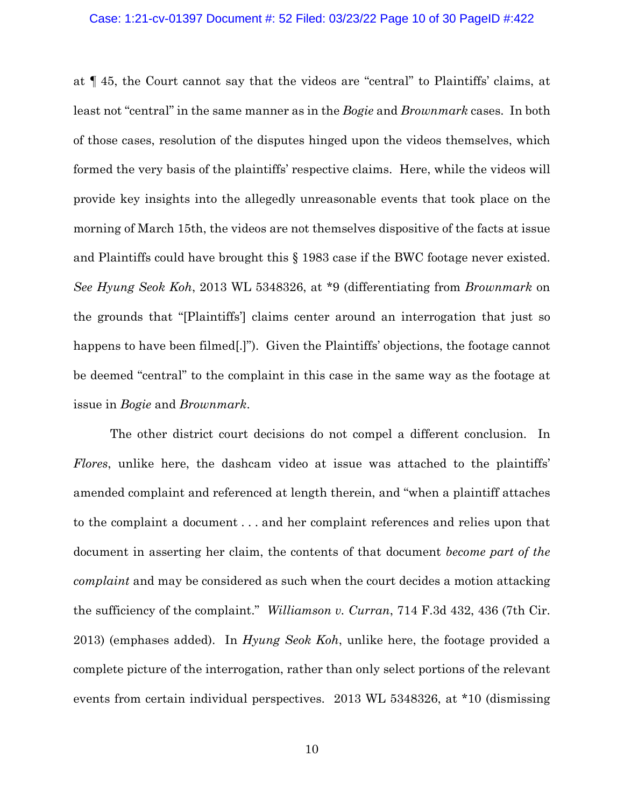#### Case: 1:21-cv-01397 Document #: 52 Filed: 03/23/22 Page 10 of 30 PageID #:422

at ¶ 45, the Court cannot say that the videos are "central" to Plaintiffs' claims, at least not "central" in the same manner as in the *Bogie* and *Brownmark* cases. In both of those cases, resolution of the disputes hinged upon the videos themselves, which formed the very basis of the plaintiffs' respective claims. Here, while the videos will provide key insights into the allegedly unreasonable events that took place on the morning of March 15th, the videos are not themselves dispositive of the facts at issue and Plaintiffs could have brought this § 1983 case if the BWC footage never existed. *See Hyung Seok Koh*, 2013 WL 5348326, at \*9 (differentiating from *Brownmark* on the grounds that "[Plaintiffs'] claims center around an interrogation that just so happens to have been filmed.]"). Given the Plaintiffs' objections, the footage cannot be deemed "central" to the complaint in this case in the same way as the footage at issue in *Bogie* and *Brownmark*.

The other district court decisions do not compel a different conclusion. In *Flores*, unlike here, the dashcam video at issue was attached to the plaintiffs' amended complaint and referenced at length therein, and "when a plaintiff attaches to the complaint a document . . . and her complaint references and relies upon that document in asserting her claim, the contents of that document *become part of the complaint* and may be considered as such when the court decides a motion attacking the sufficiency of the complaint." *Williamson v. Curran*, 714 F.3d 432, 436 (7th Cir. 2013) (emphases added). In *Hyung Seok Koh*, unlike here, the footage provided a complete picture of the interrogation, rather than only select portions of the relevant events from certain individual perspectives. 2013 WL 5348326, at \*10 (dismissing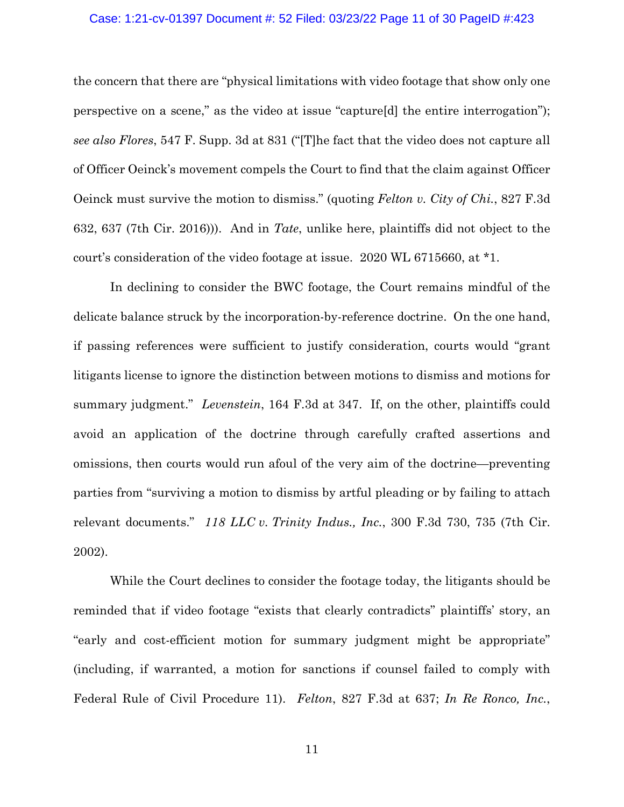#### Case: 1:21-cv-01397 Document #: 52 Filed: 03/23/22 Page 11 of 30 PageID #:423

the concern that there are "physical limitations with video footage that show only one perspective on a scene," as the video at issue "capture[d] the entire interrogation"); *see also Flores*, 547 F. Supp. 3d at 831 ("[T]he fact that the video does not capture all of Officer Oeinck's movement compels the Court to find that the claim against Officer Oeinck must survive the motion to dismiss." (quoting *Felton v. City of Chi.*, 827 F.3d 632, 637 (7th Cir. 2016))). And in *Tate*, unlike here, plaintiffs did not object to the court's consideration of the video footage at issue. 2020 WL 6715660, at \*1.

In declining to consider the BWC footage, the Court remains mindful of the delicate balance struck by the incorporation-by-reference doctrine. On the one hand, if passing references were sufficient to justify consideration, courts would "grant litigants license to ignore the distinction between motions to dismiss and motions for summary judgment." *Levenstein*, 164 F.3d at 347. If, on the other, plaintiffs could avoid an application of the doctrine through carefully crafted assertions and omissions, then courts would run afoul of the very aim of the doctrine—preventing parties from "surviving a motion to dismiss by artful pleading or by failing to attach relevant documents." *118 LLC v. Trinity Indus., Inc.*, 300 F.3d 730, 735 (7th Cir. 2002).

While the Court declines to consider the footage today, the litigants should be reminded that if video footage "exists that clearly contradicts" plaintiffs' story, an "early and cost-efficient motion for summary judgment might be appropriate" (including, if warranted, a motion for sanctions if counsel failed to comply with Federal Rule of Civil Procedure 11). *Felton*, 827 F.3d at 637; *In Re Ronco, Inc.*,

11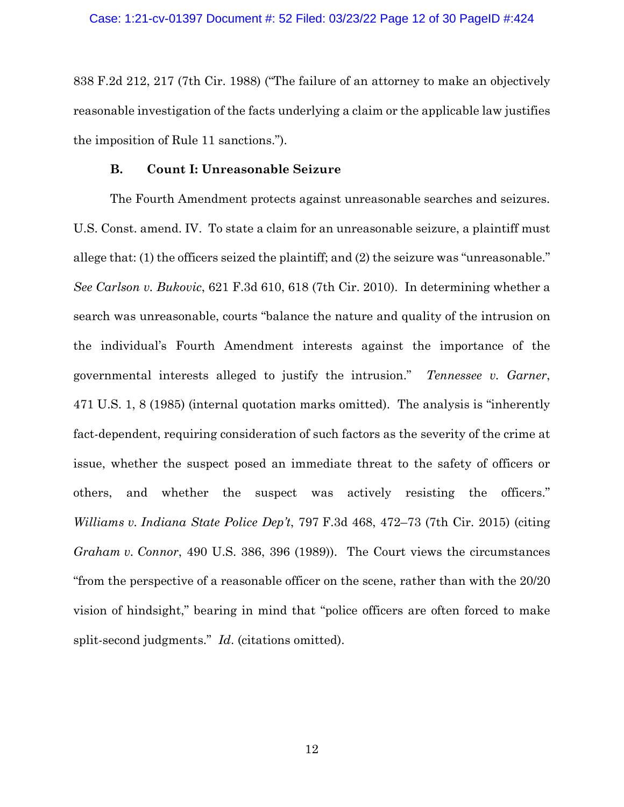838 F.2d 212, 217 (7th Cir. 1988) ("The failure of an attorney to make an objectively reasonable investigation of the facts underlying a claim or the applicable law justifies the imposition of Rule 11 sanctions.").

### **B. Count I: Unreasonable Seizure**

The Fourth Amendment protects against unreasonable searches and seizures. U.S. Const. amend. IV. To state a claim for an unreasonable seizure, a plaintiff must allege that: (1) the officers seized the plaintiff; and (2) the seizure was "unreasonable." *See Carlson v. Bukovic*, 621 F.3d 610, 618 (7th Cir. 2010). In determining whether a search was unreasonable, courts "balance the nature and quality of the intrusion on the individual's Fourth Amendment interests against the importance of the governmental interests alleged to justify the intrusion." *Tennessee v. Garner*, 471 U.S. 1, 8 (1985) (internal quotation marks omitted). The analysis is "inherently fact-dependent, requiring consideration of such factors as the severity of the crime at issue, whether the suspect posed an immediate threat to the safety of officers or others, and whether the suspect was actively resisting the officers." *Williams v. Indiana State Police Dep't*, 797 F.3d 468, 472–73 (7th Cir. 2015) (citing *Graham v. Connor*, 490 U.S. 386, 396 (1989)). The Court views the circumstances "from the perspective of a reasonable officer on the scene, rather than with the 20/20 vision of hindsight," bearing in mind that "police officers are often forced to make split-second judgments." *Id*. (citations omitted).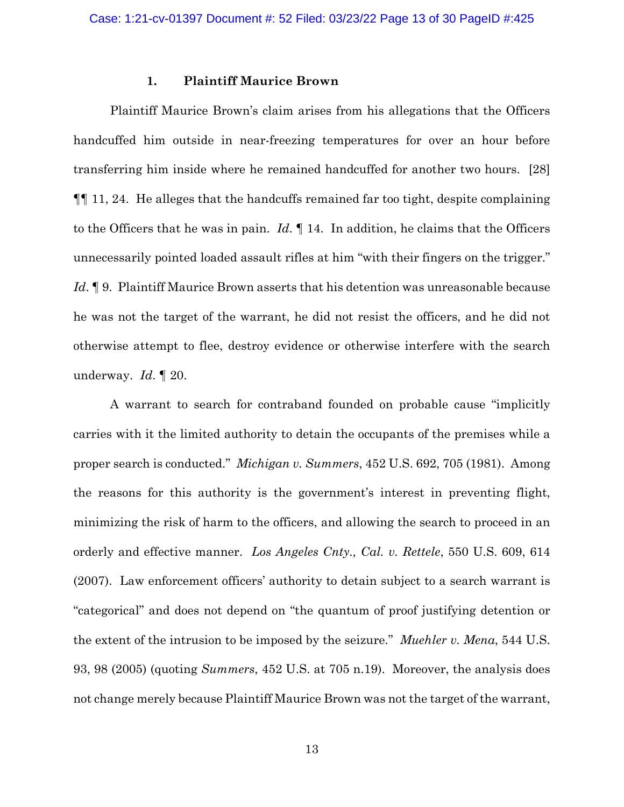### **1. Plaintiff Maurice Brown**

Plaintiff Maurice Brown's claim arises from his allegations that the Officers handcuffed him outside in near-freezing temperatures for over an hour before transferring him inside where he remained handcuffed for another two hours. [28] ¶¶ 11, 24. He alleges that the handcuffs remained far too tight, despite complaining to the Officers that he was in pain. *Id*. ¶ 14. In addition, he claims that the Officers unnecessarily pointed loaded assault rifles at him "with their fingers on the trigger." *Id*. ¶ 9. Plaintiff Maurice Brown asserts that his detention was unreasonable because he was not the target of the warrant, he did not resist the officers, and he did not otherwise attempt to flee, destroy evidence or otherwise interfere with the search underway. *Id*. ¶ 20.

A warrant to search for contraband founded on probable cause "implicitly carries with it the limited authority to detain the occupants of the premises while a proper search is conducted." *Michigan v. Summers*, 452 U.S. 692, 705 (1981). Among the reasons for this authority is the government's interest in preventing flight, minimizing the risk of harm to the officers, and allowing the search to proceed in an orderly and effective manner. *Los Angeles Cnty., Cal. v. Rettele*, 550 U.S. 609, 614 (2007). Law enforcement officers' authority to detain subject to a search warrant is "categorical" and does not depend on "the quantum of proof justifying detention or the extent of the intrusion to be imposed by the seizure." *Muehler v. Mena*, 544 U.S. 93, 98 (2005) (quoting *Summers*, 452 U.S. at 705 n.19). Moreover, the analysis does not change merely because Plaintiff Maurice Brown was not the target of the warrant,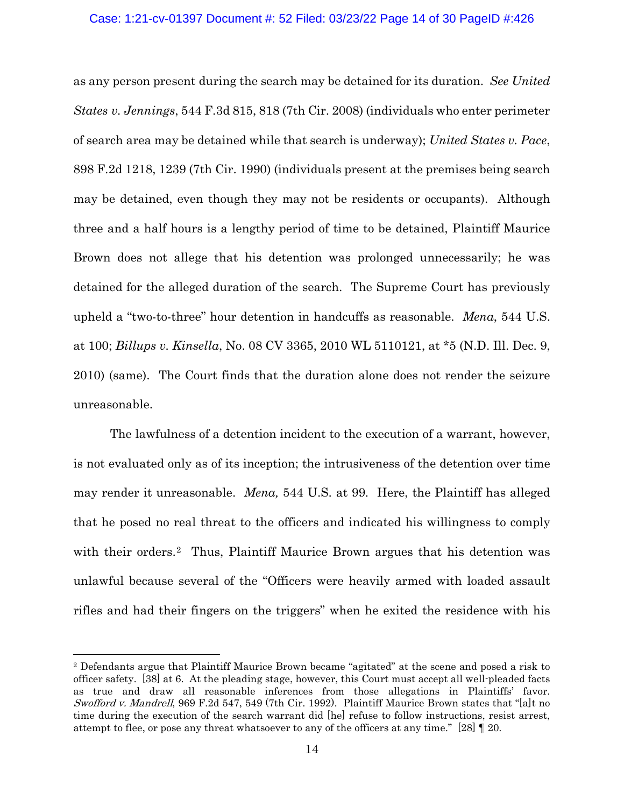#### Case: 1:21-cv-01397 Document #: 52 Filed: 03/23/22 Page 14 of 30 PageID #:426

as any person present during the search may be detained for its duration. *See United States v. Jennings*, 544 F.3d 815, 818 (7th Cir. 2008) (individuals who enter perimeter of search area may be detained while that search is underway); *United States v. Pace*, 898 F.2d 1218, 1239 (7th Cir. 1990) (individuals present at the premises being search may be detained, even though they may not be residents or occupants). Although three and a half hours is a lengthy period of time to be detained, Plaintiff Maurice Brown does not allege that his detention was prolonged unnecessarily; he was detained for the alleged duration of the search. The Supreme Court has previously upheld a "two-to-three" hour detention in handcuffs as reasonable. *Mena*, 544 U.S. at 100; *Billups v. Kinsella*, No. 08 CV 3365, 2010 WL 5110121, at \*5 (N.D. Ill. Dec. 9, 2010) (same). The Court finds that the duration alone does not render the seizure unreasonable.

The lawfulness of a detention incident to the execution of a warrant, however, is not evaluated only as of its inception; the intrusiveness of the detention over time may render it unreasonable. *Mena,* 544 U.S. at 99*.* Here, the Plaintiff has alleged that he posed no real threat to the officers and indicated his willingness to comply with their orders.<sup>2</sup> Thus, Plaintiff Maurice Brown argues that his detention was unlawful because several of the "Officers were heavily armed with loaded assault rifles and had their fingers on the triggers" when he exited the residence with his

<span id="page-13-0"></span><sup>2</sup> Defendants argue that Plaintiff Maurice Brown became "agitated" at the scene and posed a risk to officer safety. [38] at 6. At the pleading stage, however, this Court must accept all well-pleaded facts as true and draw all reasonable inferences from those allegations in Plaintiffs' favor. Swofford v. Mandrell, 969 F.2d 547, 549 (7th Cir. 1992). Plaintiff Maurice Brown states that "[a]t no time during the execution of the search warrant did [he] refuse to follow instructions, resist arrest, attempt to flee, or pose any threat whatsoever to any of the officers at any time." [28]  $\parallel$  20.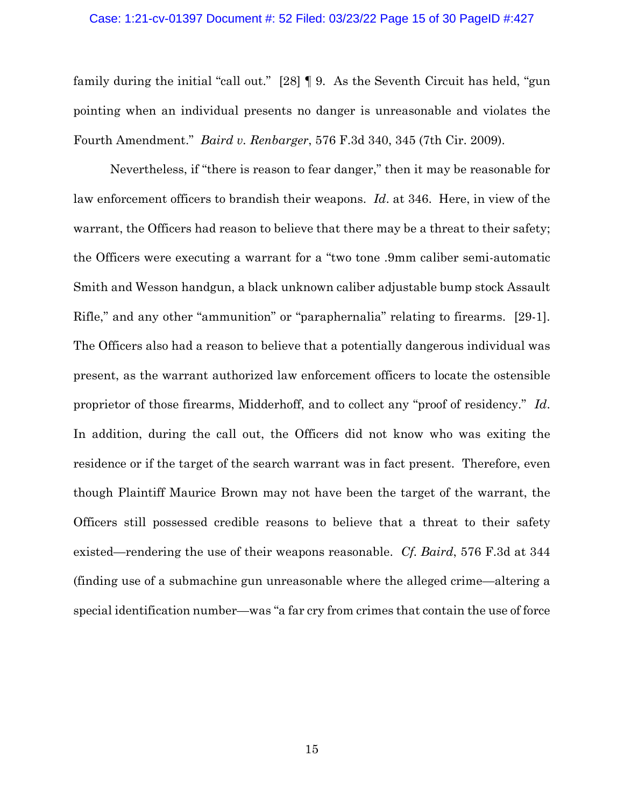#### Case: 1:21-cv-01397 Document #: 52 Filed: 03/23/22 Page 15 of 30 PageID #:427

family during the initial "call out." [28] ¶ 9. As the Seventh Circuit has held, "gun pointing when an individual presents no danger is unreasonable and violates the Fourth Amendment." *Baird v. Renbarger*, 576 F.3d 340, 345 (7th Cir. 2009).

Nevertheless, if "there is reason to fear danger," then it may be reasonable for law enforcement officers to brandish their weapons. *Id*. at 346. Here, in view of the warrant, the Officers had reason to believe that there may be a threat to their safety; the Officers were executing a warrant for a "two tone .9mm caliber semi-automatic Smith and Wesson handgun, a black unknown caliber adjustable bump stock Assault Rifle," and any other "ammunition" or "paraphernalia" relating to firearms. [29-1]. The Officers also had a reason to believe that a potentially dangerous individual was present, as the warrant authorized law enforcement officers to locate the ostensible proprietor of those firearms, Midderhoff, and to collect any "proof of residency." *Id*. In addition, during the call out, the Officers did not know who was exiting the residence or if the target of the search warrant was in fact present. Therefore, even though Plaintiff Maurice Brown may not have been the target of the warrant, the Officers still possessed credible reasons to believe that a threat to their safety existed—rendering the use of their weapons reasonable. *Cf. Baird*, 576 F.3d at 344 (finding use of a submachine gun unreasonable where the alleged crime—altering a special identification number—was "a far cry from crimes that contain the use of force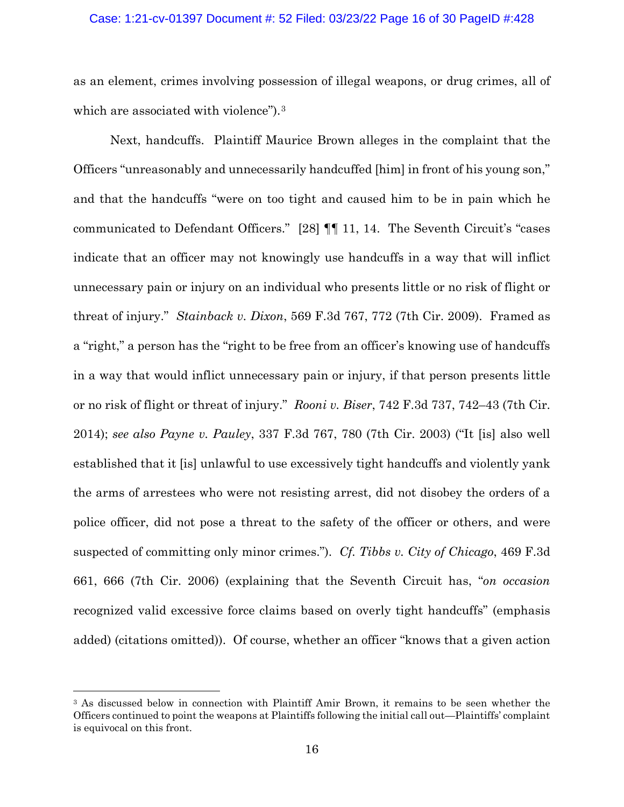# Case: 1:21-cv-01397 Document #: 52 Filed: 03/23/22 Page 16 of 30 PageID #:428

as an element, crimes involving possession of illegal weapons, or drug crimes, all of which are associated with violence").<sup>[3](#page-15-0)</sup>

Next, handcuffs. Plaintiff Maurice Brown alleges in the complaint that the Officers "unreasonably and unnecessarily handcuffed [him] in front of his young son," and that the handcuffs "were on too tight and caused him to be in pain which he communicated to Defendant Officers." [28] ¶¶ 11, 14. The Seventh Circuit's "cases indicate that an officer may not knowingly use handcuffs in a way that will inflict unnecessary pain or injury on an individual who presents little or no risk of flight or threat of injury." *Stainback v. Dixon*, 569 F.3d 767, 772 (7th Cir. 2009). Framed as a "right," a person has the "right to be free from an officer's knowing use of handcuffs in a way that would inflict unnecessary pain or injury, if that person presents little or no risk of flight or threat of injury." *Rooni v. Biser*, 742 F.3d 737, 742–43 (7th Cir. 2014); *see also Payne v. Pauley*, 337 F.3d 767, 780 (7th Cir. 2003) ("It [is] also well established that it [is] unlawful to use excessively tight handcuffs and violently yank the arms of arrestees who were not resisting arrest, did not disobey the orders of a police officer, did not pose a threat to the safety of the officer or others, and were suspected of committing only minor crimes."). *Cf. Tibbs v. City of Chicago*, 469 F.3d 661, 666 (7th Cir. 2006) (explaining that the Seventh Circuit has, "*on occasion* recognized valid excessive force claims based on overly tight handcuffs" (emphasis added) (citations omitted)). Of course, whether an officer "knows that a given action

<span id="page-15-0"></span><sup>&</sup>lt;sup>3</sup> As discussed below in connection with Plaintiff Amir Brown, it remains to be seen whether the Officers continued to point the weapons at Plaintiffs following the initial call out—Plaintiffs' complaint is equivocal on this front.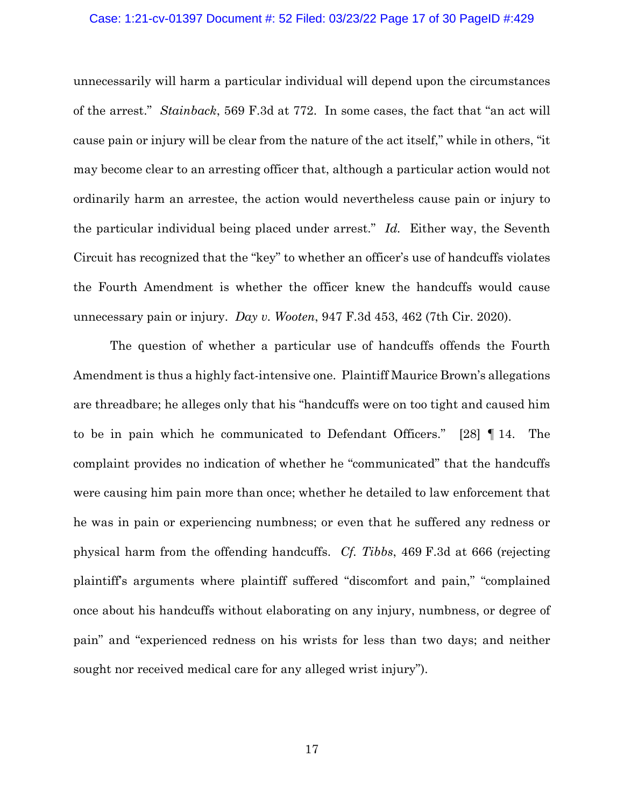#### Case: 1:21-cv-01397 Document #: 52 Filed: 03/23/22 Page 17 of 30 PageID #:429

unnecessarily will harm a particular individual will depend upon the circumstances of the arrest." *Stainback*, 569 F.3d at 772. In some cases, the fact that "an act will cause pain or injury will be clear from the nature of the act itself," while in others, "it may become clear to an arresting officer that, although a particular action would not ordinarily harm an arrestee, the action would nevertheless cause pain or injury to the particular individual being placed under arrest." *Id.* Either way, the Seventh Circuit has recognized that the "key" to whether an officer's use of handcuffs violates the Fourth Amendment is whether the officer knew the handcuffs would cause unnecessary pain or injury. *Day v. Wooten*, 947 F.3d 453, 462 (7th Cir. 2020).

The question of whether a particular use of handcuffs offends the Fourth Amendment is thus a highly fact-intensive one. Plaintiff Maurice Brown's allegations are threadbare; he alleges only that his "handcuffs were on too tight and caused him to be in pain which he communicated to Defendant Officers." [28] ¶ 14. The complaint provides no indication of whether he "communicated" that the handcuffs were causing him pain more than once; whether he detailed to law enforcement that he was in pain or experiencing numbness; or even that he suffered any redness or physical harm from the offending handcuffs. *Cf. Tibbs*, 469 F.3d at 666 (rejecting plaintiff's arguments where plaintiff suffered "discomfort and pain," "complained once about his handcuffs without elaborating on any injury, numbness, or degree of pain" and "experienced redness on his wrists for less than two days; and neither sought nor received medical care for any alleged wrist injury").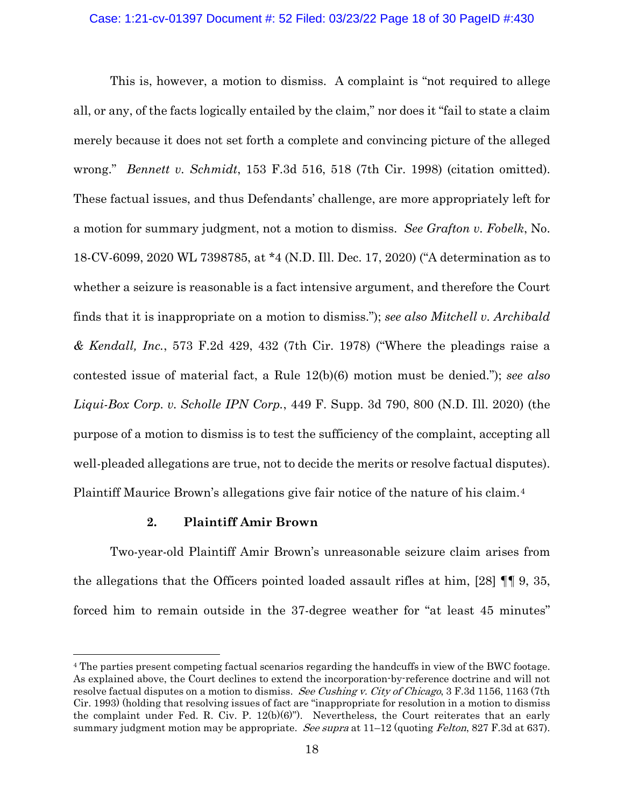# Case: 1:21-cv-01397 Document #: 52 Filed: 03/23/22 Page 18 of 30 PageID #:430

This is, however, a motion to dismiss. A complaint is "not required to allege all, or any, of the facts logically entailed by the claim," nor does it "fail to state a claim merely because it does not set forth a complete and convincing picture of the alleged wrong." *Bennett v. Schmidt*, 153 F.3d 516, 518 (7th Cir. 1998) (citation omitted). These factual issues, and thus Defendants' challenge, are more appropriately left for a motion for summary judgment, not a motion to dismiss. *See Grafton v. Fobelk*, No. 18-CV-6099, 2020 WL 7398785, at \*4 (N.D. Ill. Dec. 17, 2020) ("A determination as to whether a seizure is reasonable is a fact intensive argument, and therefore the Court finds that it is inappropriate on a motion to dismiss."); *see also Mitchell v. Archibald & Kendall, Inc.*, 573 F.2d 429, 432 (7th Cir. 1978) ("Where the pleadings raise a contested issue of material fact, a Rule 12(b)(6) motion must be denied."); *see also Liqui-Box Corp. v. Scholle IPN Corp.*, 449 F. Supp. 3d 790, 800 (N.D. Ill. 2020) (the purpose of a motion to dismiss is to test the sufficiency of the complaint, accepting all well-pleaded allegations are true, not to decide the merits or resolve factual disputes). Plaintiff Maurice Brown's allegations give fair notice of the nature of his claim.[4](#page-17-0)

## **2. Plaintiff Amir Brown**

Two-year-old Plaintiff Amir Brown's unreasonable seizure claim arises from the allegations that the Officers pointed loaded assault rifles at him, [28] ¶¶ 9, 35, forced him to remain outside in the 37-degree weather for "at least 45 minutes"

<span id="page-17-0"></span><sup>4</sup> The parties present competing factual scenarios regarding the handcuffs in view of the BWC footage. As explained above, the Court declines to extend the incorporation-by-reference doctrine and will not resolve factual disputes on a motion to dismiss. See Cushing v. City of Chicago, 3 F.3d 1156, 1163 (7th Cir. 1993) (holding that resolving issues of fact are "inappropriate for resolution in a motion to dismiss the complaint under Fed. R. Civ. P.  $12(b)(6)$ "). Nevertheless, the Court reiterates that an early summary judgment motion may be appropriate. See supra at  $11-12$  (quoting Felton, 827 F.3d at 637).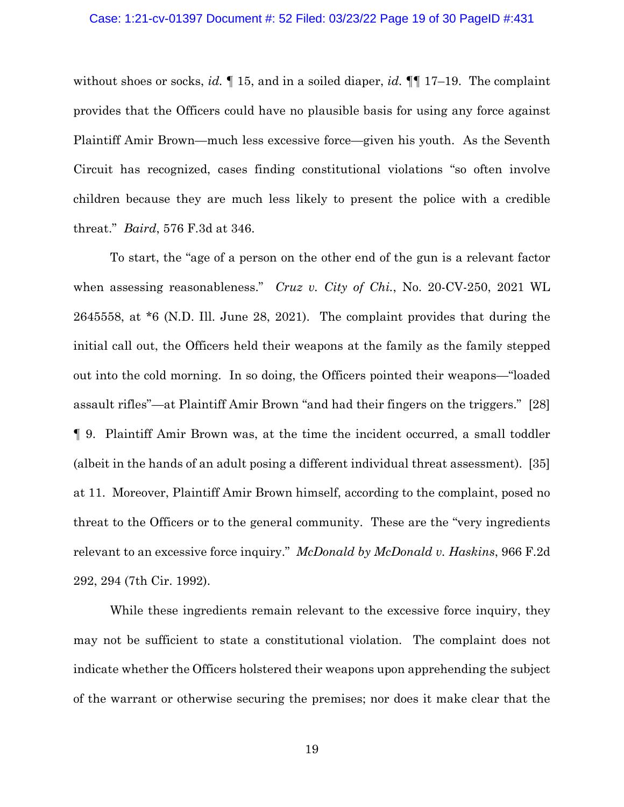#### Case: 1:21-cv-01397 Document #: 52 Filed: 03/23/22 Page 19 of 30 PageID #:431

without shoes or socks, *id.* ¶ 15, and in a soiled diaper, *id.* ¶¶ 17–19. The complaint provides that the Officers could have no plausible basis for using any force against Plaintiff Amir Brown—much less excessive force—given his youth. As the Seventh Circuit has recognized, cases finding constitutional violations "so often involve children because they are much less likely to present the police with a credible threat." *Baird*, 576 F.3d at 346.

To start, the "age of a person on the other end of the gun is a relevant factor when assessing reasonableness." *Cruz v. City of Chi.*, No. 20-CV-250, 2021 WL 2645558, at \*6 (N.D. Ill. June 28, 2021). The complaint provides that during the initial call out, the Officers held their weapons at the family as the family stepped out into the cold morning. In so doing, the Officers pointed their weapons—"loaded assault rifles"—at Plaintiff Amir Brown "and had their fingers on the triggers." [28] ¶ 9. Plaintiff Amir Brown was, at the time the incident occurred, a small toddler (albeit in the hands of an adult posing a different individual threat assessment). [35] at 11. Moreover, Plaintiff Amir Brown himself, according to the complaint, posed no threat to the Officers or to the general community. These are the "very ingredients relevant to an excessive force inquiry." *McDonald by McDonald v. Haskins*, 966 F.2d 292, 294 (7th Cir. 1992).

While these ingredients remain relevant to the excessive force inquiry, they may not be sufficient to state a constitutional violation. The complaint does not indicate whether the Officers holstered their weapons upon apprehending the subject of the warrant or otherwise securing the premises; nor does it make clear that the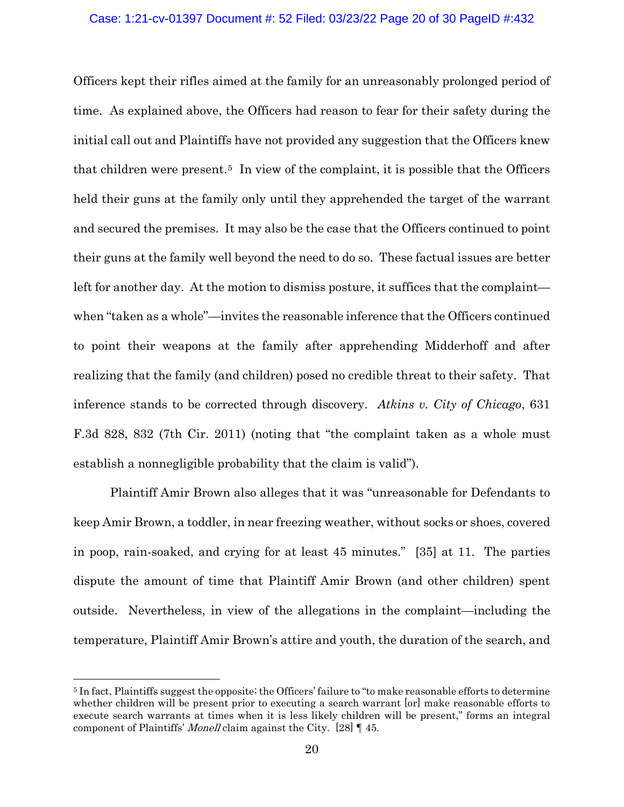## Case: 1:21-cv-01397 Document #: 52 Filed: 03/23/22 Page 20 of 30 PageID #:432

Officers kept their rifles aimed at the family for an unreasonably prolonged period of time. As explained above, the Officers had reason to fear for their safety during the initial call out and Plaintiffs have not provided any suggestion that the Officers knew that children were present.<sup>[5](#page-19-0)</sup> In view of the complaint, it is possible that the Officers held their guns at the family only until they apprehended the target of the warrant and secured the premises. It may also be the case that the Officers continued to point their guns at the family well beyond the need to do so. These factual issues are better left for another day. At the motion to dismiss posture, it suffices that the complaint when "taken as a whole"—invites the reasonable inference that the Officers continued to point their weapons at the family after apprehending Midderhoff and after realizing that the family (and children) posed no credible threat to their safety. That inference stands to be corrected through discovery. *Atkins v. City of Chicago*, 631 F.3d 828, 832 (7th Cir. 2011) (noting that "the complaint taken as a whole must establish a nonnegligible probability that the claim is valid").

Plaintiff Amir Brown also alleges that it was "unreasonable for Defendants to keep Amir Brown, a toddler, in near freezing weather, without socks or shoes, covered in poop, rain-soaked, and crying for at least 45 minutes." [35] at 11. The parties dispute the amount of time that Plaintiff Amir Brown (and other children) spent outside. Nevertheless, in view of the allegations in the complaint—including the temperature, Plaintiff Amir Brown's attire and youth, the duration of the search, and

<span id="page-19-0"></span><sup>5</sup> In fact, Plaintiffs suggest the opposite; the Officers' failure to "to make reasonable efforts to determine whether children will be present prior to executing a search warrant [or] make reasonable efforts to execute search warrants at times when it is less likely children will be present," forms an integral component of Plaintiffs' Monell claim against the City. [28] ¶ 45.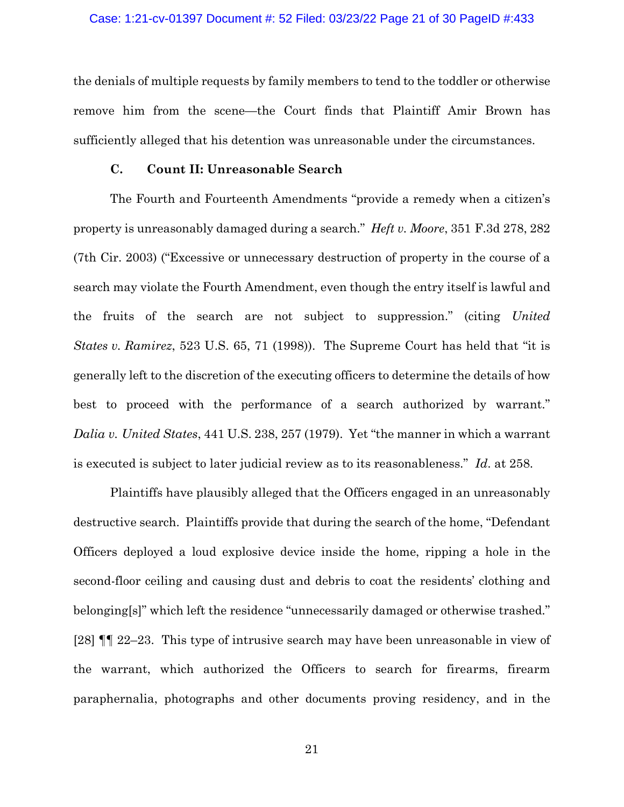#### Case: 1:21-cv-01397 Document #: 52 Filed: 03/23/22 Page 21 of 30 PageID #:433

the denials of multiple requests by family members to tend to the toddler or otherwise remove him from the scene—the Court finds that Plaintiff Amir Brown has sufficiently alleged that his detention was unreasonable under the circumstances.

### **C. Count II: Unreasonable Search**

The Fourth and Fourteenth Amendments "provide a remedy when a citizen's property is unreasonably damaged during a search." *Heft v. Moore*, 351 F.3d 278, 282 (7th Cir. 2003) ("Excessive or unnecessary destruction of property in the course of a search may violate the Fourth Amendment, even though the entry itself is lawful and the fruits of the search are not subject to suppression." (citing *United States v. Ramirez*, 523 U.S. 65, 71 (1998)). The Supreme Court has held that "it is generally left to the discretion of the executing officers to determine the details of how best to proceed with the performance of a search authorized by warrant." *Dalia v. United States*, 441 U.S. 238, 257 (1979). Yet "the manner in which a warrant is executed is subject to later judicial review as to its reasonableness." *Id*. at 258.

Plaintiffs have plausibly alleged that the Officers engaged in an unreasonably destructive search. Plaintiffs provide that during the search of the home, "Defendant Officers deployed a loud explosive device inside the home, ripping a hole in the second-floor ceiling and causing dust and debris to coat the residents' clothing and belonging[s]" which left the residence "unnecessarily damaged or otherwise trashed." [28] ¶¶ 22–23. This type of intrusive search may have been unreasonable in view of the warrant, which authorized the Officers to search for firearms, firearm paraphernalia, photographs and other documents proving residency, and in the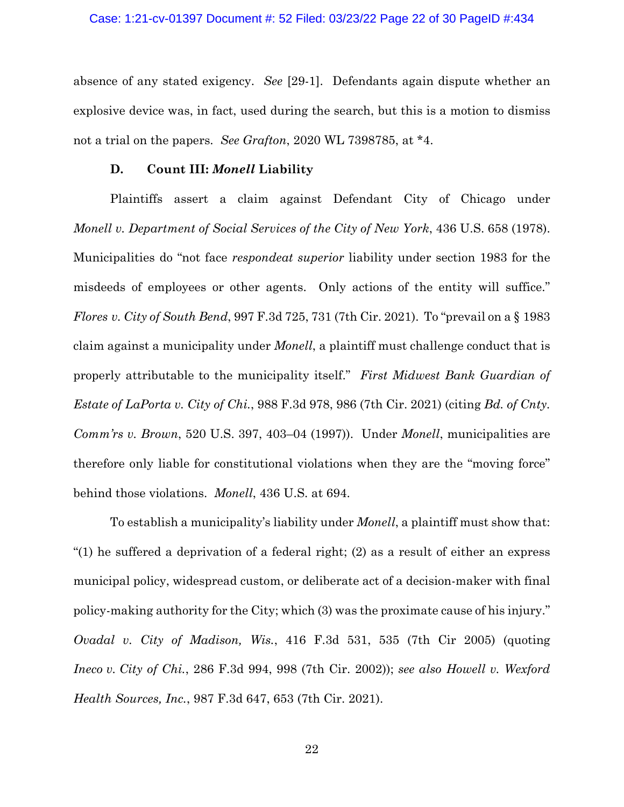#### Case: 1:21-cv-01397 Document #: 52 Filed: 03/23/22 Page 22 of 30 PageID #:434

absence of any stated exigency. *See* [29-1]. Defendants again dispute whether an explosive device was, in fact, used during the search, but this is a motion to dismiss not a trial on the papers. *See Grafton*, 2020 WL 7398785, at \*4.

### **D. Count III:** *Monell* **Liability**

Plaintiffs assert a claim against Defendant City of Chicago under *Monell v. Department of Social Services of the City of New York*, 436 U.S. 658 (1978). Municipalities do "not face *respondeat superior* liability under section 1983 for the misdeeds of employees or other agents. Only actions of the entity will suffice." *Flores v. City of South Bend*, 997 F.3d 725, 731 (7th Cir. 2021). To "prevail on a § 1983 claim against a municipality under *Monell*, a plaintiff must challenge conduct that is properly attributable to the municipality itself." *First Midwest Bank Guardian of Estate of LaPorta v. City of Chi.*, 988 F.3d 978, 986 (7th Cir. 2021) (citing *Bd. of Cnty. Comm'rs v. Brown*, 520 U.S. 397, 403–04 (1997)). Under *Monell*, municipalities are therefore only liable for constitutional violations when they are the "moving force" behind those violations. *Monell*, 436 U.S. at 694.

To establish a municipality's liability under *Monell*, a plaintiff must show that: "(1) he suffered a deprivation of a federal right; (2) as a result of either an express municipal policy, widespread custom, or deliberate act of a decision-maker with final policy-making authority for the City; which (3) was the proximate cause of his injury." *Ovadal v. City of Madison, Wis.*, 416 F.3d 531, 535 (7th Cir 2005) (quoting *Ineco v. City of Chi.*, 286 F.3d 994, 998 (7th Cir. 2002)); *see also Howell v. Wexford Health Sources, Inc.*, 987 F.3d 647, 653 (7th Cir. 2021).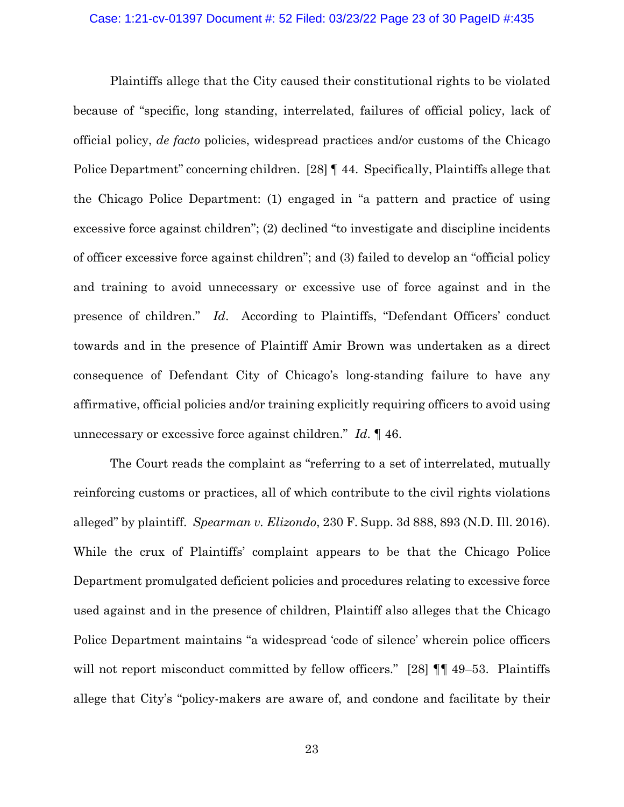#### Case: 1:21-cv-01397 Document #: 52 Filed: 03/23/22 Page 23 of 30 PageID #:435

Plaintiffs allege that the City caused their constitutional rights to be violated because of "specific, long standing, interrelated, failures of official policy, lack of official policy, *de facto* policies, widespread practices and/or customs of the Chicago Police Department" concerning children. [28] [44. Specifically, Plaintiffs allege that the Chicago Police Department: (1) engaged in "a pattern and practice of using excessive force against children"; (2) declined "to investigate and discipline incidents of officer excessive force against children"; and (3) failed to develop an "official policy and training to avoid unnecessary or excessive use of force against and in the presence of children." *Id*. According to Plaintiffs, "Defendant Officers' conduct towards and in the presence of Plaintiff Amir Brown was undertaken as a direct consequence of Defendant City of Chicago's long-standing failure to have any affirmative, official policies and/or training explicitly requiring officers to avoid using unnecessary or excessive force against children." *Id*. ¶ 46.

The Court reads the complaint as "referring to a set of interrelated, mutually reinforcing customs or practices, all of which contribute to the civil rights violations alleged" by plaintiff. *Spearman v. Elizondo*, 230 F. Supp. 3d 888, 893 (N.D. Ill. 2016). While the crux of Plaintiffs' complaint appears to be that the Chicago Police Department promulgated deficient policies and procedures relating to excessive force used against and in the presence of children, Plaintiff also alleges that the Chicago Police Department maintains "a widespread 'code of silence' wherein police officers will not report misconduct committed by fellow officers." [28]  $\P\P$  49–53. Plaintiffs allege that City's "policy-makers are aware of, and condone and facilitate by their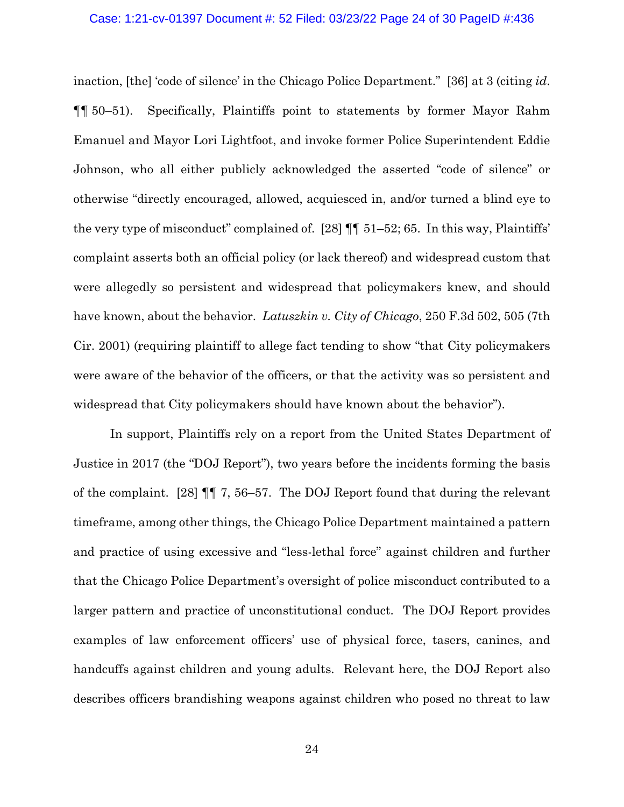#### Case: 1:21-cv-01397 Document #: 52 Filed: 03/23/22 Page 24 of 30 PageID #:436

inaction, [the] 'code of silence' in the Chicago Police Department." [36] at 3 (citing *id*. ¶¶ 50–51). Specifically, Plaintiffs point to statements by former Mayor Rahm Emanuel and Mayor Lori Lightfoot, and invoke former Police Superintendent Eddie Johnson, who all either publicly acknowledged the asserted "code of silence" or otherwise "directly encouraged, allowed, acquiesced in, and/or turned a blind eye to the very type of misconduct" complained of. [28]  $\P\P$  51–52; 65. In this way, Plaintiffs' complaint asserts both an official policy (or lack thereof) and widespread custom that were allegedly so persistent and widespread that policymakers knew, and should have known, about the behavior. *Latuszkin v. City of Chicago*, 250 F.3d 502, 505 (7th Cir. 2001) (requiring plaintiff to allege fact tending to show "that City policymakers were aware of the behavior of the officers, or that the activity was so persistent and widespread that City policymakers should have known about the behavior").

In support, Plaintiffs rely on a report from the United States Department of Justice in 2017 (the "DOJ Report"), two years before the incidents forming the basis of the complaint. [28] ¶¶ 7, 56–57. The DOJ Report found that during the relevant timeframe, among other things, the Chicago Police Department maintained a pattern and practice of using excessive and "less-lethal force" against children and further that the Chicago Police Department's oversight of police misconduct contributed to a larger pattern and practice of unconstitutional conduct. The DOJ Report provides examples of law enforcement officers' use of physical force, tasers, canines, and handcuffs against children and young adults. Relevant here, the DOJ Report also describes officers brandishing weapons against children who posed no threat to law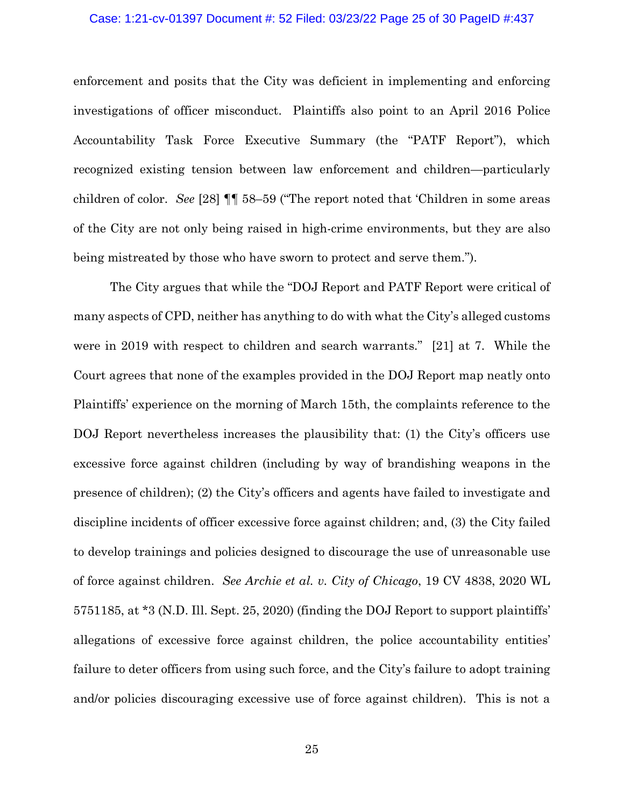#### Case: 1:21-cv-01397 Document #: 52 Filed: 03/23/22 Page 25 of 30 PageID #:437

enforcement and posits that the City was deficient in implementing and enforcing investigations of officer misconduct. Plaintiffs also point to an April 2016 Police Accountability Task Force Executive Summary (the "PATF Report"), which recognized existing tension between law enforcement and children—particularly children of color. *See* [28] ¶¶ 58–59 ("The report noted that 'Children in some areas of the City are not only being raised in high-crime environments, but they are also being mistreated by those who have sworn to protect and serve them.").

The City argues that while the "DOJ Report and PATF Report were critical of many aspects of CPD, neither has anything to do with what the City's alleged customs were in 2019 with respect to children and search warrants." [21] at 7. While the Court agrees that none of the examples provided in the DOJ Report map neatly onto Plaintiffs' experience on the morning of March 15th, the complaints reference to the DOJ Report nevertheless increases the plausibility that: (1) the City's officers use excessive force against children (including by way of brandishing weapons in the presence of children); (2) the City's officers and agents have failed to investigate and discipline incidents of officer excessive force against children; and, (3) the City failed to develop trainings and policies designed to discourage the use of unreasonable use of force against children. *See Archie et al. v. City of Chicago*, 19 CV 4838, 2020 WL 5751185, at \*3 (N.D. Ill. Sept. 25, 2020) (finding the DOJ Report to support plaintiffs' allegations of excessive force against children, the police accountability entities' failure to deter officers from using such force, and the City's failure to adopt training and/or policies discouraging excessive use of force against children). This is not a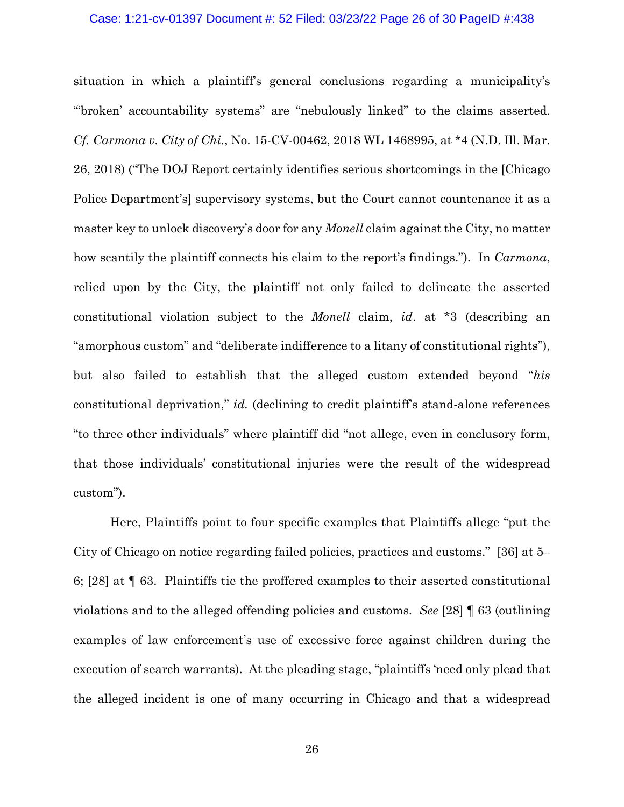#### Case: 1:21-cv-01397 Document #: 52 Filed: 03/23/22 Page 26 of 30 PageID #:438

situation in which a plaintiff's general conclusions regarding a municipality's "'broken' accountability systems" are "nebulously linked" to the claims asserted. *Cf. Carmona v. City of Chi.*, No. 15-CV-00462, 2018 WL 1468995, at \*4 (N.D. Ill. Mar. 26, 2018) ("The DOJ Report certainly identifies serious shortcomings in the [Chicago Police Department's] supervisory systems, but the Court cannot countenance it as a master key to unlock discovery's door for any *Monell* claim against the City, no matter how scantily the plaintiff connects his claim to the report's findings."). In *Carmona*, relied upon by the City, the plaintiff not only failed to delineate the asserted constitutional violation subject to the *Monell* claim, *id*. at \*3 (describing an "amorphous custom" and "deliberate indifference to a litany of constitutional rights"), but also failed to establish that the alleged custom extended beyond "*his* constitutional deprivation," *id.* (declining to credit plaintiff's stand-alone references "to three other individuals" where plaintiff did "not allege, even in conclusory form, that those individuals' constitutional injuries were the result of the widespread custom").

Here, Plaintiffs point to four specific examples that Plaintiffs allege "put the City of Chicago on notice regarding failed policies, practices and customs." [36] at 5– 6; [28] at ¶ 63. Plaintiffs tie the proffered examples to their asserted constitutional violations and to the alleged offending policies and customs. *See* [28] ¶ 63 (outlining examples of law enforcement's use of excessive force against children during the execution of search warrants). At the pleading stage, "plaintiffs 'need only plead that the alleged incident is one of many occurring in Chicago and that a widespread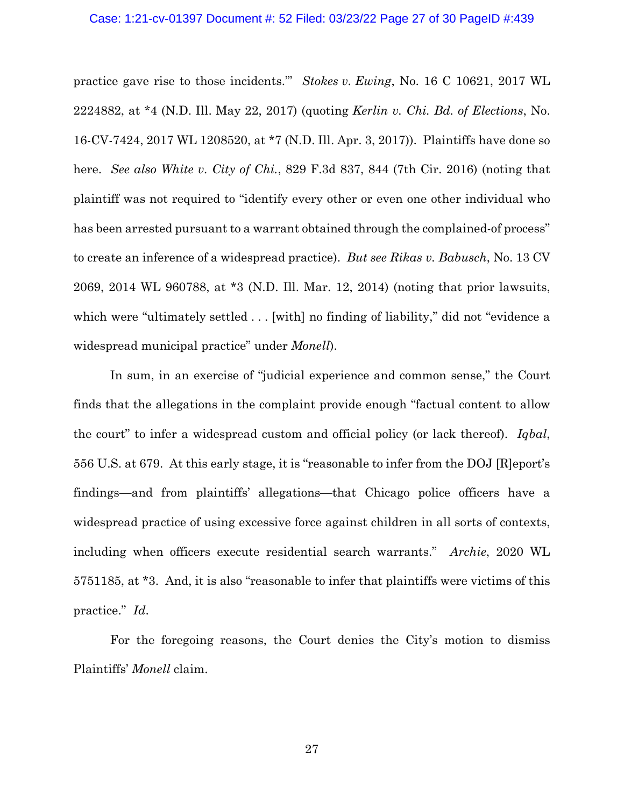#### Case: 1:21-cv-01397 Document #: 52 Filed: 03/23/22 Page 27 of 30 PageID #:439

practice gave rise to those incidents.'" *Stokes v. Ewing*, No. 16 C 10621, 2017 WL 2224882, at \*4 (N.D. Ill. May 22, 2017) (quoting *Kerlin v. Chi. Bd. of Elections*, No. 16-CV-7424, 2017 WL 1208520, at \*7 (N.D. Ill. Apr. 3, 2017)). Plaintiffs have done so here. *See also White v. City of Chi.*, 829 F.3d 837, 844 (7th Cir. 2016) (noting that plaintiff was not required to "identify every other or even one other individual who has been arrested pursuant to a warrant obtained through the complained-of process" to create an inference of a widespread practice). *But see Rikas v. Babusch*, No. 13 CV 2069, 2014 WL 960788, at \*3 (N.D. Ill. Mar. 12, 2014) (noting that prior lawsuits, which were "ultimately settled . . . [with] no finding of liability," did not "evidence a widespread municipal practice" under *Monell*).

In sum, in an exercise of "judicial experience and common sense," the Court finds that the allegations in the complaint provide enough "factual content to allow the court" to infer a widespread custom and official policy (or lack thereof). *Iqbal*, 556 U.S. at 679. At this early stage, it is "reasonable to infer from the DOJ [R]eport's findings—and from plaintiffs' allegations—that Chicago police officers have a widespread practice of using excessive force against children in all sorts of contexts, including when officers execute residential search warrants." *Archie*, 2020 WL 5751185, at \*3. And, it is also "reasonable to infer that plaintiffs were victims of this practice." *Id*.

For the foregoing reasons, the Court denies the City's motion to dismiss Plaintiffs' *Monell* claim.

27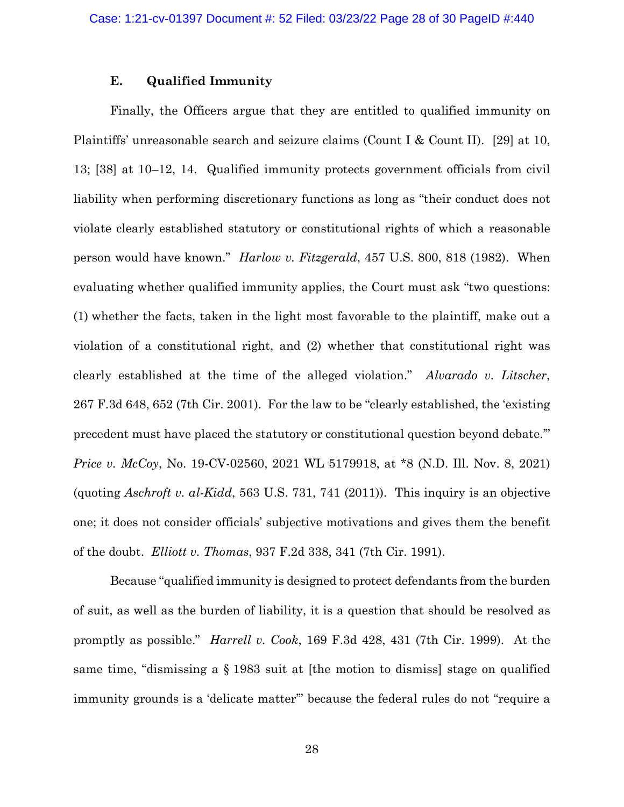# **E. Qualified Immunity**

Finally, the Officers argue that they are entitled to qualified immunity on Plaintiffs' unreasonable search and seizure claims (Count I & Count II). [29] at 10, 13; [38] at 10–12, 14. Qualified immunity protects government officials from civil liability when performing discretionary functions as long as "their conduct does not violate clearly established statutory or constitutional rights of which a reasonable person would have known." *Harlow v. Fitzgerald*, 457 U.S. 800, 818 (1982). When evaluating whether qualified immunity applies, the Court must ask "two questions: (1) whether the facts, taken in the light most favorable to the plaintiff, make out a violation of a constitutional right, and (2) whether that constitutional right was clearly established at the time of the alleged violation." *Alvarado v. Litscher*, 267 F.3d 648, 652 (7th Cir. 2001). For the law to be "clearly established, the 'existing precedent must have placed the statutory or constitutional question beyond debate.'" *Price v. McCoy*, No. 19-CV-02560, 2021 WL 5179918, at \*8 (N.D. Ill. Nov. 8, 2021) (quoting *Aschroft v. al-Kidd*, 563 U.S. 731, 741 (2011)). This inquiry is an objective one; it does not consider officials' subjective motivations and gives them the benefit of the doubt. *Elliott v. Thomas*, 937 F.2d 338, 341 (7th Cir. 1991).

Because "qualified immunity is designed to protect defendants from the burden of suit, as well as the burden of liability, it is a question that should be resolved as promptly as possible." *Harrell v. Cook*, 169 F.3d 428, 431 (7th Cir. 1999). At the same time, "dismissing a § 1983 suit at [the motion to dismiss] stage on qualified immunity grounds is a 'delicate matter'" because the federal rules do not "require a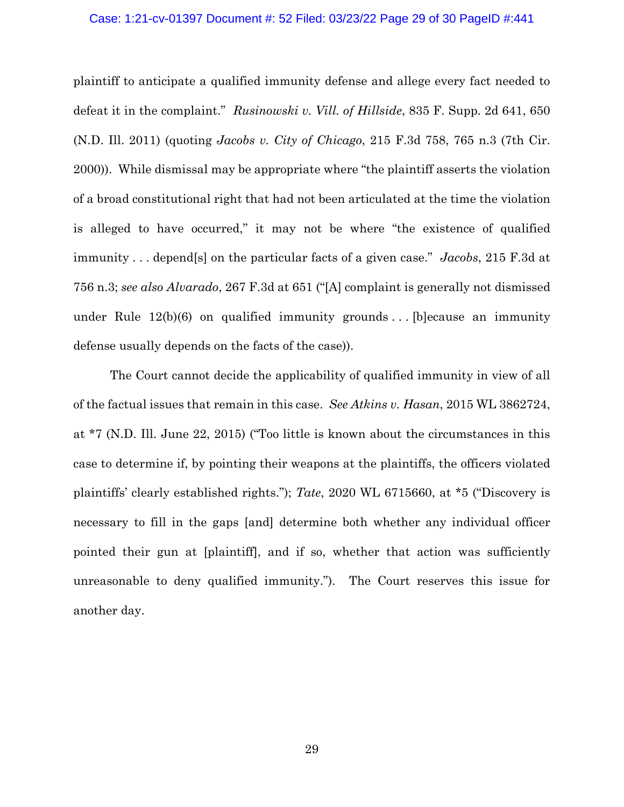#### Case: 1:21-cv-01397 Document #: 52 Filed: 03/23/22 Page 29 of 30 PageID #:441

plaintiff to anticipate a qualified immunity defense and allege every fact needed to defeat it in the complaint." *Rusinowski v. Vill. of Hillside*, 835 F. Supp. 2d 641, 650 (N.D. Ill. 2011) (quoting *Jacobs v. City of Chicago*, 215 F.3d 758, 765 n.3 (7th Cir. 2000)). While dismissal may be appropriate where "the plaintiff asserts the violation of a broad constitutional right that had not been articulated at the time the violation is alleged to have occurred," it may not be where "the existence of qualified immunity . . . depend[s] on the particular facts of a given case." *Jacobs*, 215 F.3d at 756 n.3; *see also Alvarado*, 267 F.3d at 651 ("[A] complaint is generally not dismissed under Rule  $12(b)(6)$  on qualified immunity grounds ... [b] ecause an immunity defense usually depends on the facts of the case)).

The Court cannot decide the applicability of qualified immunity in view of all of the factual issues that remain in this case. *See Atkins v. Hasan*, 2015 WL 3862724, at \*7 (N.D. Ill. June 22, 2015) ("Too little is known about the circumstances in this case to determine if, by pointing their weapons at the plaintiffs, the officers violated plaintiffs' clearly established rights."); *Tate*, 2020 WL 6715660, at \*5 ("Discovery is necessary to fill in the gaps [and] determine both whether any individual officer pointed their gun at [plaintiff], and if so, whether that action was sufficiently unreasonable to deny qualified immunity."). The Court reserves this issue for another day.